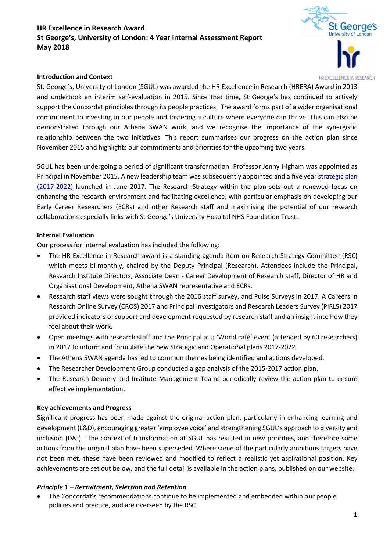# **HR Excellence in Research Award St George's, University of London: 4 Year Internal Assessment Report May 2018**





HD EXCELLENCE IN DESEADCH

St. George's, University of London (SGUL) was awarded the HR Excellence in Research (HRERA) Award in 2013 and undertook an interim self-evaluation in 2015. Since that time, St George's has continued to actively support the Concordat principles through its people practices. The award forms part of a wider organisational commitment to investing in our people and fostering a culture where everyone can thrive. This can also be demonstrated through our Athena SWAN work, and we recognise the importance of the synergistic relationship between the two initiatives. This report summarises our progress on the action plan since November 2015 and highlights our commitments and priorities for the upcoming two years.

SGUL has been undergoing a period of significant transformation. Professor Jenny Higham was appointed as Principal in November 2015. A new leadership team was subsequently appointed and a five yea[r strategic plan](https://www.sgul.ac.uk/about-us/strategy-2017-2022)  [\(2017-2022\)](https://www.sgul.ac.uk/about-us/strategy-2017-2022) launched in June 2017. The Research Strategy within the plan sets out a renewed focus on enhancing the research environment and facilitating excellence, with particular emphasis on developing our Early Career Researchers (ECRs) and other Research staff and maximising the potential of our research collaborations especially links with St George's University Hospital NHS Foundation Trust.

#### **Internal Evaluation**

Our process for internal evaluation has included the following:

- The HR Excellence in Research award is a standing agenda item on Research Strategy Committee (RSC) which meets bi-monthly, chaired by the Deputy Principal (Research). Attendees include the Principal, Research Institute Directors, Associate Dean - Career Development of Research staff, Director of HR and Organisational Development, Athena SWAN representative and ECRs.
- Research staff views were sought through the 2016 staff survey, and Pulse Surveys in 2017. A Careers in Research Online Survey (CROS) 2017 and Principal Investigators and Research Leaders Survey (PIRLS) 2017 provided indicators of support and development requested by research staff and an insight into how they feel about their work.
- Open meetings with research staff and the Principal at a 'World café' event (attended by 60 researchers) in 2017 to inform and formulate the new Strategic and Operational plans 2017-2022.
- The Athena SWAN agenda has led to common themes being identified and actions developed.
- The Researcher Development Group conducted a gap analysis of the 2015-2017 action plan.
- The Research Deanery and Institute Management Teams periodically review the action plan to ensure effective implementation.

#### **Key achievements and Progress**

Significant progress has been made against the original action plan, particularly in enhancing learning and development (L&D), encouraging greater 'employee voice' and strengthening SGUL's approach to diversity and inclusion (D&I). The context of transformation at SGUL has resulted in new priorities, and therefore some actions from the original plan have been superseded. Where some of the particularly ambitious targets have not been met, these have been reviewed and modified to reflect a realistic yet aspirational position. Key achievements are set out below, and the full detail is available in the action plans, published on our website.

#### *Principle 1 – Recruitment, Selection and Retention*

 The Concordat's recommendations continue to be implemented and embedded within our people policies and practice, and are overseen by the RSC.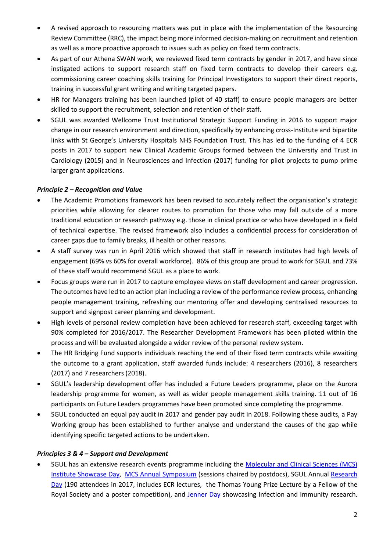- A revised approach to resourcing matters was put in place with the implementation of the Resourcing Review Committee (RRC), the impact being more informed decision-making on recruitment and retention as well as a more proactive approach to issues such as policy on fixed term contracts.
- As part of our Athena SWAN work, we reviewed fixed term contracts by gender in 2017, and have since instigated actions to support research staff on fixed term contracts to develop their careers e.g. commissioning career coaching skills training for Principal Investigators to support their direct reports, training in successful grant writing and writing targeted papers.
- HR for Managers training has been launched (pilot of 40 staff) to ensure people managers are better skilled to support the recruitment, selection and retention of their staff.
- SGUL was awarded Wellcome Trust Institutional Strategic Support Funding in 2016 to support major change in our research environment and direction, specifically by enhancing cross-Institute and bipartite links with St George's University Hospitals NHS Foundation Trust. This has led to the funding of 4 ECR posts in 2017 to support new Clinical Academic Groups formed between the University and Trust in Cardiology (2015) and in Neurosciences and Infection (2017) funding for pilot projects to pump prime larger grant applications.

# *Principle 2 – Recognition and Value*

- The Academic Promotions framework has been revised to accurately reflect the organisation's strategic priorities while allowing for clearer routes to promotion for those who may fall outside of a more traditional education or research pathway e.g. those in clinical practice or who have developed in a field of technical expertise. The revised framework also includes a confidential process for consideration of career gaps due to family breaks, ill health or other reasons.
- A staff survey was run in April 2016 which showed that staff in research institutes had high levels of engagement (69% vs 60% for overall workforce). 86% of this group are proud to work for SGUL and 73% of these staff would recommend SGUL as a place to work.
- Focus groups were run in 2017 to capture employee views on staff development and career progression. The outcomes have led to an action plan including a review of the performance review process, enhancing people management training, refreshing our mentoring offer and developing centralised resources to support and signpost career planning and development.
- High levels of personal review completion have been achieved for research staff, exceeding target with 90% completed for 2016/2017. The Researcher Development Framework has been piloted within the process and will be evaluated alongside a wider review of the personal review system.
- The HR Bridging Fund supports individuals reaching the end of their fixed term contracts while awaiting the outcome to a grant application, staff awarded funds include: 4 researchers (2016), 8 researchers (2017) and 7 researchers (2018).
- SGUL's leadership development offer has included a Future Leaders programme, place on the Aurora leadership programme for women, as well as wider people management skills training. 11 out of 16 participants on Future Leaders programmes have been promoted since completing the programme.
- SGUL conducted an equal pay audit in 2017 and gender pay audit in 2018. Following these audits, a Pay Working group has been established to further analyse and understand the causes of the gap while identifying specific targeted actions to be undertaken.

### *Principles 3 & 4 – Support and Development*

 SGUL has an extensive research events programme including the [Molecular and Clinical Sciences \(MCS\)](https://sgul.cloud.panopto.eu/Panopto/Pages/Viewer.aspx?id=126c4e47-52f3-8e94-8a04-ee3e3ee8ce4b)  Institute [Showcase Day,](https://sgul.cloud.panopto.eu/Panopto/Pages/Viewer.aspx?id=126c4e47-52f3-8e94-8a04-ee3e3ee8ce4b) [MCS Annual Symposium](https://portal.sgul.ac.uk/org/institutes/molecular-and-clinical-sciences-research-institute/events/MCS%20Summer%20Symposium%20programme%202017.pdf) (sessions chaired by postdocs), SGUL Annual [Research](http://www.researchday.sgul.ac.uk/)  [Day](http://www.researchday.sgul.ac.uk/) (190 attendees in 2017, includes ECR lectures, the Thomas Young Prize Lecture by a Fellow of the Royal Society and a poster competition), and [Jenner Day](https://www.sgul.ac.uk/research/infection/jenner-day) showcasing Infection and Immunity research.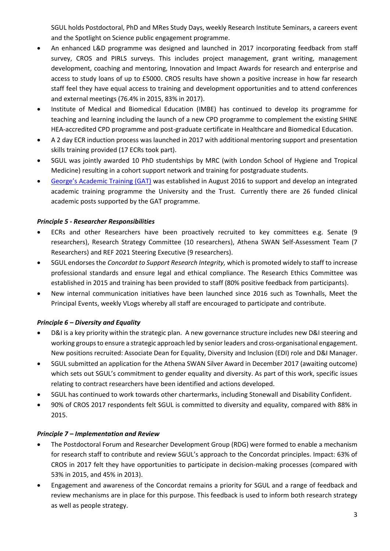SGUL holds Postdoctoral, PhD and MRes Study Days, weekly Research Institute Seminars, a careers event and the Spotlight on Science public engagement programme.

- An enhanced L&D programme was designed and launched in 2017 incorporating feedback from staff survey, CROS and PIRLS surveys. This includes project management, grant writing, management development, coaching and mentoring, Innovation and Impact Awards for research and enterprise and access to study loans of up to £5000. CROS results have shown a positive increase in how far research staff feel they have equal access to training and development opportunities and to attend conferences and external meetings (76.4% in 2015, 83% in 2017).
- Institute of Medical and Biomedical Education (IMBE) has continued to develop its programme for teaching and learning including the launch of a new CPD programme to complement the existing SHINE HEA-accredited CPD programme and post-graduate certificate in Healthcare and Biomedical Education.
- A 2 day ECR induction process was launched in 2017 with additional mentoring support and presentation skills training provided (17 ECRs took part).
- SGUL was jointly awarded 10 PhD studentships by MRC (with London School of Hygiene and Tropical Medicine) resulting in a cohort support network and training for postgraduate students.
- [George's Academic Training \(GAT\)](https://www.sgul.ac.uk/research/academic-training) was established in August 2016 to support and develop an integrated academic training programme the University and the Trust. Currently there are 26 funded clinical academic posts supported by the GAT programme.

# *Principle 5 - Researcher Responsibilities*

- ECRs and other Researchers have been proactively recruited to key committees e.g. Senate (9 researchers), Research Strategy Committee (10 researchers), Athena SWAN Self-Assessment Team (7 Researchers) and REF 2021 Steering Executive (9 researchers).
- SGUL endorses the *Concordat to Support Research Integrity,* which is promoted widely to staff to increase professional standards and ensure legal and ethical compliance. The Research Ethics Committee was established in 2015 and training has been provided to staff (80% positive feedback from participants).
- New internal communication initiatives have been launched since 2016 such as Townhalls, Meet the Principal Events, weekly VLogs whereby all staff are encouraged to participate and contribute.

# *Principle 6 – Diversity and Equality*

- D&I is a key priority within the strategic plan. A new governance structure includes new D&I steering and working groups to ensure a strategic approach led by senior leaders and cross-organisational engagement. New positions recruited: Associate Dean for Equality, Diversity and Inclusion (EDI) role and D&I Manager.
- SGUL submitted an application for the Athena SWAN Silver Award in December 2017 (awaiting outcome) which sets out SGUL's commitment to gender equality and diversity. As part of this work, specific issues relating to contract researchers have been identified and actions developed.
- SGUL has continued to work towards other chartermarks, including Stonewall and Disability Confident.
- 90% of CROS 2017 respondents felt SGUL is committed to diversity and equality, compared with 88% in 2015.

### *Principle 7 – Implementation and Review*

- The Postdoctoral Forum and Researcher Development Group (RDG) were formed to enable a mechanism for research staff to contribute and review SGUL's approach to the Concordat principles. Impact: 63% of CROS in 2017 felt they have opportunities to participate in decision-making processes (compared with 53% in 2015, and 45% in 2013).
- Engagement and awareness of the Concordat remains a priority for SGUL and a range of feedback and review mechanisms are in place for this purpose. This feedback is used to inform both research strategy as well as people strategy.